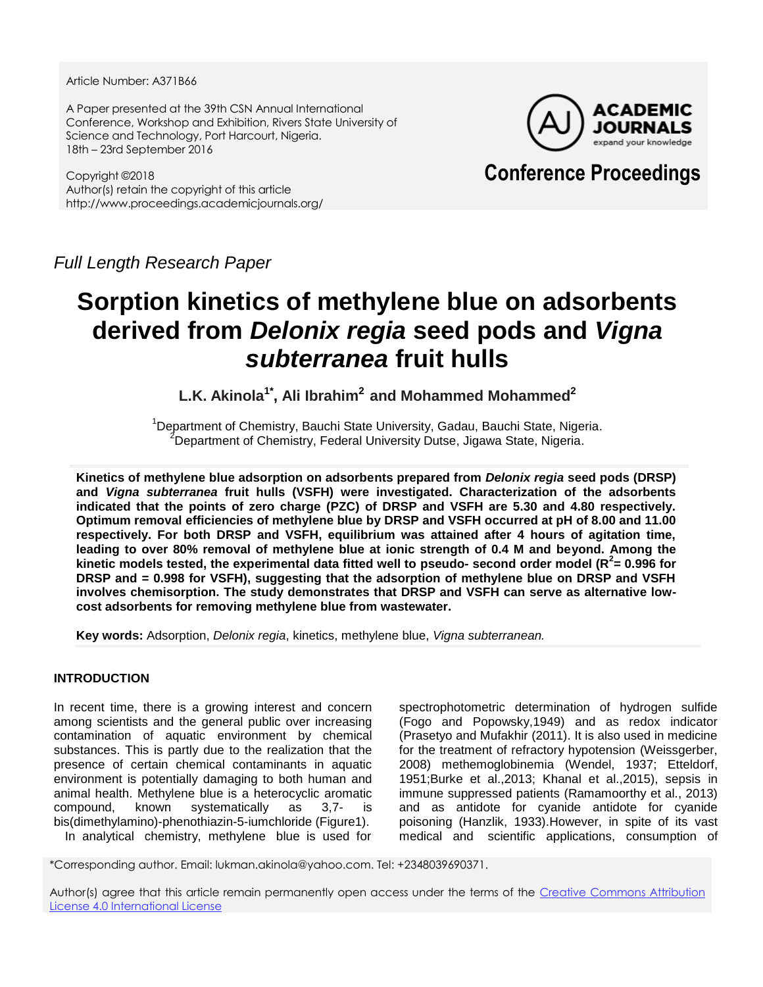Article Number: A371B66

A Paper presented at the 39th CSN Annual International Conference, Workshop and Exhibition, Rivers State University of Science and Technology, Port Harcourt, Nigeria. 18th – 23rd September 2016

Copyright ©2018 Author(s) retain the copyright of this article http://www.proceedings.academicjournals.org/



## **Conference Proceedings**

*Full Length Research Paper*

# **Sorption kinetics of methylene blue on adsorbents derived from** *Delonix regia* **seed pods and** *Vigna subterranea* **fruit hulls**

**L.K. Akinola1\* , Ali Ibrahim<sup>2</sup> and Mohammed Mohammed<sup>2</sup>**

<sup>1</sup>Department of Chemistry, Bauchi State University, Gadau, Bauchi State, Nigeria.  $2^2$ Department of Chemistry, Federal University Dutse, Jigawa State, Nigeria.

**Kinetics of methylene blue adsorption on adsorbents prepared from** *Delonix regia* **seed pods (DRSP) and** *Vigna subterranea* **fruit hulls (VSFH) were investigated. Characterization of the adsorbents indicated that the points of zero charge (PZC) of DRSP and VSFH are 5.30 and 4.80 respectively. Optimum removal efficiencies of methylene blue by DRSP and VSFH occurred at pH of 8.00 and 11.00 respectively. For both DRSP and VSFH, equilibrium was attained after 4 hours of agitation time, leading to over 80% removal of methylene blue at ionic strength of 0.4 M and beyond. Among the kinetic models tested, the experimental data fitted well to pseudo- second order model (R<sup>2</sup> = 0.996 for DRSP and = 0.998 for VSFH), suggesting that the adsorption of methylene blue on DRSP and VSFH involves chemisorption. The study demonstrates that DRSP and VSFH can serve as alternative lowcost adsorbents for removing methylene blue from wastewater.**

**Key words:** Adsorption, *Delonix regia*, kinetics, methylene blue, *Vigna subterranean.*

## **INTRODUCTION**

In recent time, there is a growing interest and concern among scientists and the general public over increasing contamination of aquatic environment by chemical substances. This is partly due to the realization that the presence of certain chemical contaminants in aquatic environment is potentially damaging to both human and animal health. Methylene blue is a heterocyclic aromatic compound, known systematically as 3,7- is bis(dimethylamino)-phenothiazin-5-iumchloride (Figure1). In analytical chemistry, methylene blue is used for

spectrophotometric determination of hydrogen sulfide (Fogo and Popowsky,1949) and as redox indicator (Prasetyo and Mufakhir (2011). It is also used in medicine for the treatment of refractory hypotension (Weissgerber, 2008) methemoglobinemia (Wendel, 1937; Etteldorf, 1951;Burke et al.,2013; Khanal et al.,2015), sepsis in immune suppressed patients (Ramamoorthy et al., 2013) and as antidote for cyanide antidote for cyanide poisoning (Hanzlik, 1933).However, in spite of its vast medical and scientific applications, consumption of

\*Corresponding author. Email: lukman.akinola@yahoo.com. Tel: +2348039690371.

Author(s) agree that this article remain permanently open access under the terms of the [Creative Commons Attribution](http://creativecommons.org/licenses/by/4.0/deed.en_US)  [License 4.0 International License](http://creativecommons.org/licenses/by/4.0/deed.en_US)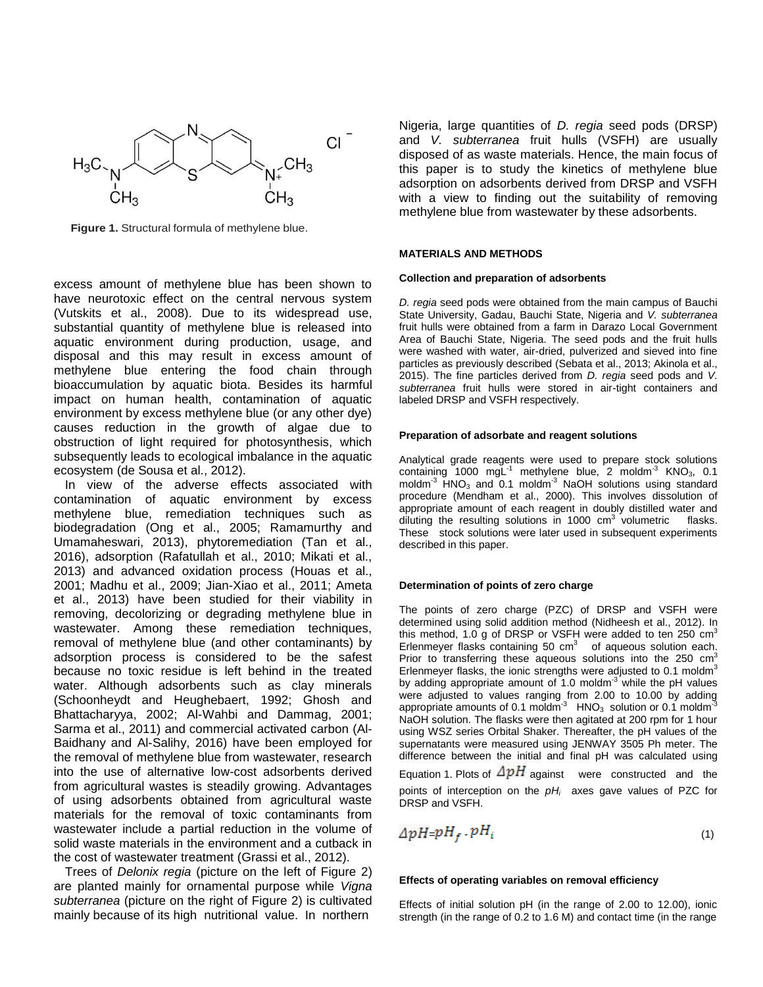

**Figure 1.** Structural formula of methylene blue.

excess amount of methylene blue has been shown to have neurotoxic effect on the central nervous system (Vutskits et al., 2008). Due to its widespread use, substantial quantity of methylene blue is released into aquatic environment during production, usage, and disposal and this may result in excess amount of methylene blue entering the food chain through bioaccumulation by aquatic biota. Besides its harmful impact on human health, contamination of aquatic environment by excess methylene blue (or any other dye) causes reduction in the growth of algae due to obstruction of light required for photosynthesis, which subsequently leads to ecological imbalance in the aquatic ecosystem (de Sousa et al., 2012).

In view of the adverse effects associated with contamination of aquatic environment by excess methylene blue, remediation techniques such as biodegradation (Ong et al., 2005; Ramamurthy and Umamaheswari, 2013), phytoremediation (Tan et al., 2016), adsorption (Rafatullah et al., 2010; Mikati et al., 2013) and advanced oxidation process (Houas et al., 2001; Madhu et al., 2009; Jian-Xiao et al., 2011; Ameta et al., 2013) have been studied for their viability in removing, decolorizing or degrading methylene blue in wastewater. Among these remediation techniques, removal of methylene blue (and other contaminants) by adsorption process is considered to be the safest because no toxic residue is left behind in the treated water. Although adsorbents such as clay minerals (Schoonheydt and Heughebaert, 1992; Ghosh and Bhattacharyya, 2002; Al-Wahbi and Dammag, 2001; Sarma et al., 2011) and commercial activated carbon (Al-Baidhany and Al-Salihy, 2016) have been employed for the removal of methylene blue from wastewater, research into the use of alternative low-cost adsorbents derived from agricultural wastes is steadily growing. Advantages of using adsorbents obtained from agricultural waste materials for the removal of toxic contaminants from wastewater include a partial reduction in the volume of solid waste materials in the environment and a cutback in the cost of wastewater treatment (Grassi et al., 2012).

Trees of *Delonix regia* (picture on the left of Figure 2) are planted mainly for ornamental purpose while *Vigna subterranea* (picture on the right of Figure 2) is cultivated mainly because of its high nutritional value. In northern

Nigeria, large quantities of *D. regia* seed pods (DRSP) and *V. subterranea* fruit hulls (VSFH) are usually disposed of as waste materials. Hence, the main focus of this paper is to study the kinetics of methylene blue adsorption on adsorbents derived from DRSP and VSFH with a view to finding out the suitability of removing methylene blue from wastewater by these adsorbents.

#### **MATERIALS AND METHODS**

#### **Collection and preparation of adsorbents**

*D. regia* seed pods were obtained from the main campus of Bauchi State University, Gadau, Bauchi State, Nigeria and *V. subterranea* fruit hulls were obtained from a farm in Darazo Local Government Area of Bauchi State, Nigeria. The seed pods and the fruit hulls were washed with water, air-dried, pulverized and sieved into fine particles as previously described (Sebata et al., 2013; Akinola et al., 2015). The fine particles derived from *D. regia* seed pods and *V. subterranea* fruit hulls were stored in air-tight containers and labeled DRSP and VSFH respectively.

#### **Preparation of adsorbate and reagent solutions**

Analytical grade reagents were used to prepare stock solutions containing 1000 mgL $^{-1}$  methylene blue, 2 moldm $^{-3}$  KNO<sub>3</sub>, 0.1 moldm $^{-3}$  HNO<sub>3</sub> and 0.1 moldm $^{-3}$  NaOH solutions using standard procedure (Mendham et al., 2000). This involves dissolution of appropriate amount of each reagent in doubly distilled water and diluting the resulting solutions in 1000  $\text{cm}^3$  volumetric flasks. These stock solutions were later used in subsequent experiments described in this paper.

#### **Determination of points of zero charge**

The points of zero charge (PZC) of DRSP and VSFH were determined using solid addition method (Nidheesh et al., 2012). In this method, 1.0 g of DRSP or VSFH were added to ten 250  $\text{cm}^3$ Erlenmeyer flasks containing 50  $\text{cm}^3$  of aqueous solution each. Prior to transferring these aqueous solutions into the 250 cm<sup>3</sup> Erlenmeyer flasks, the ionic strengths were adjusted to 0.1 moldm<sup>3</sup> by adding appropriate amount of  $1.0$  moldm<sup>3</sup> while the pH values were adjusted to values ranging from 2.00 to 10.00 by adding appropriate amounts of 0.1 moldm $3$  HNO<sub>3</sub> solution or 0.1 moldm $3$ NaOH solution. The flasks were then agitated at 200 rpm for 1 hour using WSZ series Orbital Shaker. Thereafter, the pH values of the supernatants were measured using JENWAY 3505 Ph meter. The difference between the initial and final pH was calculated using Equation 1. Plots of  $\Delta pH$  against were constructed and the points of interception on the *pHi* axes gave values of PZC for DRSP and VSFH.

$$
\Delta pH = pH_f \cdot pH_i \tag{1}
$$

#### **Effects of operating variables on removal efficiency**

Effects of initial solution pH (in the range of 2.00 to 12.00), ionic strength (in the range of 0.2 to 1.6 M) and contact time (in the range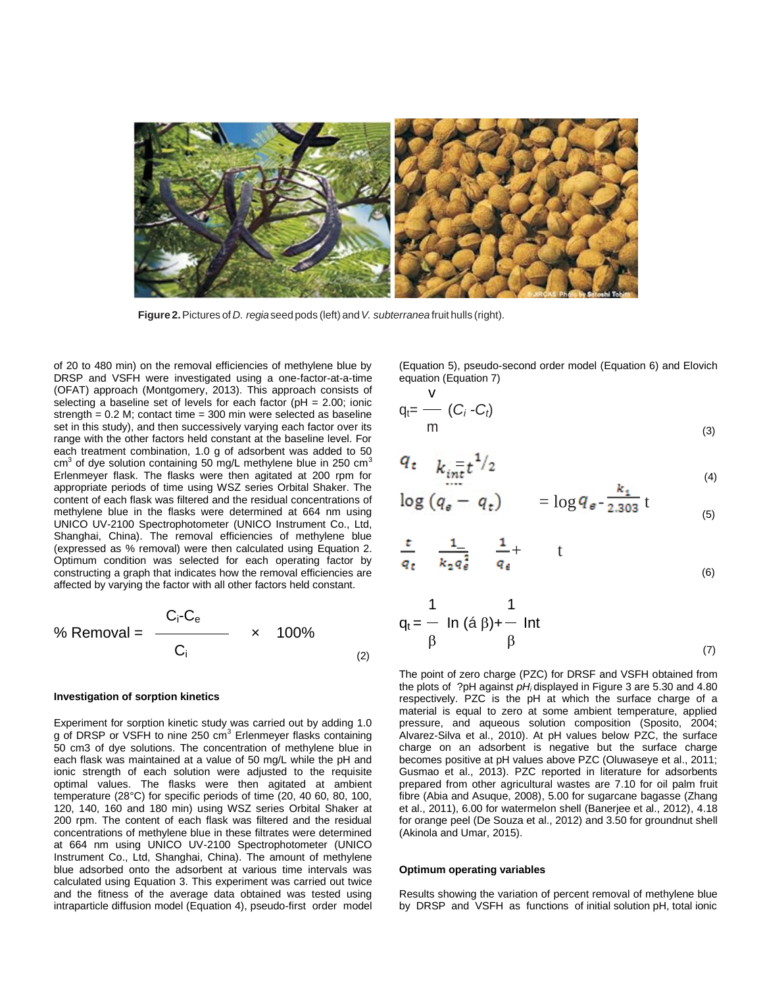

v

**Figure 2.**Pictures of *D. regia*seedpods (left) and*V. subterranea* fruit hulls (right).

of 20 to 480 min) on the removal efficiencies of methylene blue by DRSP and VSFH were investigated using a one-factor-at-a-time (OFAT) approach (Montgomery, 2013). This approach consists of selecting a baseline set of levels for each factor (pH = 2.00; ionic strength  $= 0.2$  M; contact time  $= 300$  min were selected as baseline set in this study), and then successively varying each factor over its range with the other factors held constant at the baseline level. For each treatment combination, 1.0 g of adsorbent was added to 50 cm<sup>3</sup> of dye solution containing 50 mg/L methylene blue in 250 cm<sup>3</sup> Erlenmeyer flask. The flasks were then agitated at 200 rpm for appropriate periods of time using WSZ series Orbital Shaker. The content of each flask was filtered and the residual concentrations of methylene blue in the flasks were determined at 664 nm using UNICO UV-2100 Spectrophotometer (UNICO Instrument Co., Ltd, Shanghai, China). The removal efficiencies of methylene blue (expressed as % removal) were then calculated using Equation 2. Optimum condition was selected for each operating factor by constructing a graph that indicates how the removal efficiencies are affected by varying the factor with all other factors held constant.

% Removal = 
$$
\frac{C_i - C_e}{C_i}
$$
 x 100%  $q_t = - \ln(\dot{a})$ 

#### **Investigation of sorption kinetics**

Experiment for sorption kinetic study was carried out by adding 1.0 g of DRSP or VSFH to nine 250 cm<sup>3</sup> Erlenmeyer flasks containing 50 cm3 of dye solutions. The concentration of methylene blue in each flask was maintained at a value of 50 mg/L while the pH and ionic strength of each solution were adjusted to the requisite optimal values. The flasks were then agitated at ambient temperature (28°C) for specific periods of time (20, 40 60, 80, 100, 120, 140, 160 and 180 min) using WSZ series Orbital Shaker at 200 rpm. The content of each flask was filtered and the residual concentrations of methylene blue in these filtrates were determined at 664 nm using UNICO UV-2100 Spectrophotometer (UNICO Instrument Co., Ltd, Shanghai, China). The amount of methylene blue adsorbed onto the adsorbent at various time intervals was calculated using Equation 3. This experiment was carried out twice and the fitness of the average data obtained was tested using intraparticle diffusion model (Equation 4), pseudo-first order model (Equation 5), pseudo-second order model (Equation 6) and Elovich equation (Equation 7)

$$
q_t = \frac{V}{m} (C_i - C_t)
$$
 (3)

$$
q_t \t k_{\text{init}} t^{1/2} \t\t (4)
$$

$$
\log\left(q_{\epsilon}-q_{t}\right) = \log q_{\epsilon-\frac{\kappa_{1}}{2.303}}t \tag{5}
$$

$$
\frac{t}{q_t} = \frac{1}{k_2 q_e^2} = \frac{1}{q_e} + \qquad t \tag{6}
$$

$$
q_t = \frac{1}{\beta} \ln (\hat{a} \beta) + \frac{1}{\beta} \ln t
$$
\n(7)

The point of zero charge (PZC) for DRSF and VSFH obtained from the plots of ?pH against *pH<sup>i</sup>* displayed in Figure 3 are 5.30 and 4.80 respectively. PZC is the pH at which the surface charge of a material is equal to zero at some ambient temperature, applied pressure, and aqueous solution composition (Sposito, 2004; Alvarez-Silva et al., 2010). At pH values below PZC, the surface charge on an adsorbent is negative but the surface charge becomes positive at pH values above PZC (Oluwaseye et al., 2011; Gusmao et al., 2013). PZC reported in literature for adsorbents prepared from other agricultural wastes are 7.10 for oil palm fruit fibre (Abia and Asuque, 2008), 5.00 for sugarcane bagasse (Zhang et al., 2011), 6.00 for watermelon shell (Banerjee et al., 2012), 4.18 for orange peel (De Souza et al., 2012) and 3.50 for groundnut shell (Akinola and Umar, 2015).

#### **Optimum operating variables**

Results showing the variation of percent removal of methylene blue by DRSP and VSFH as functions of initial solution pH, total ionic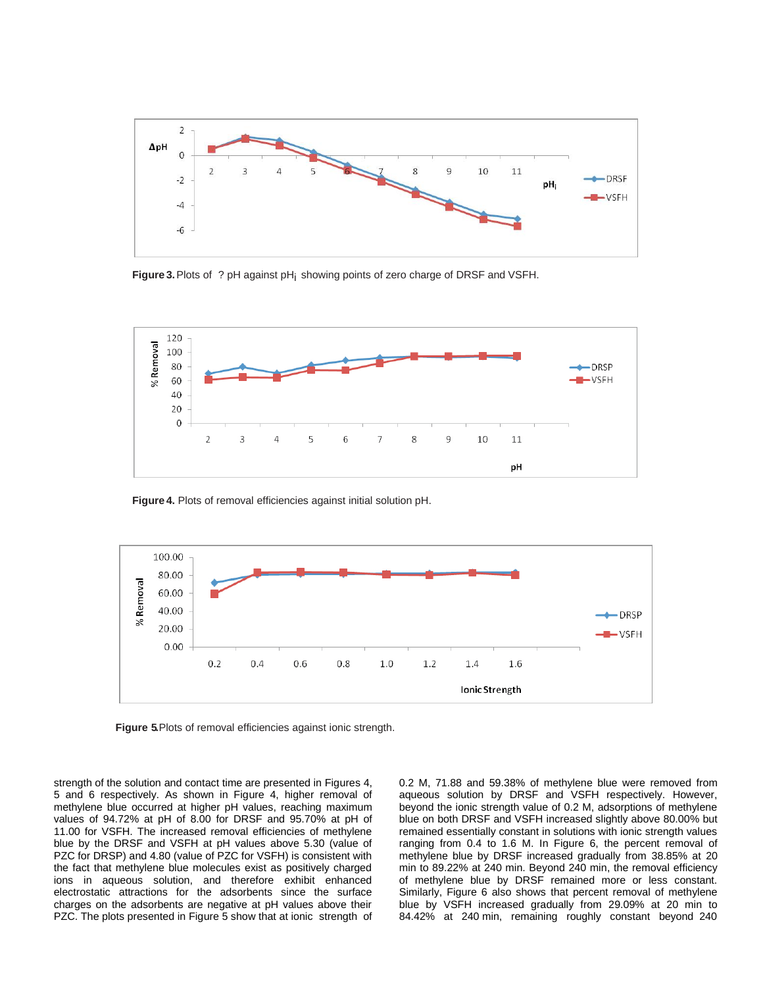

**Figure 3.** Plots of ? pH against pH<sub>i</sub> showing points of zero charge of DRSF and VSFH.



**Figure 4.** Plots of removal efficiencies against initial solution pH.



Figure 5. Plots of removal efficiencies against ionic strength.

strength of the solution and contact time are presented in Figures 4, 5 and 6 respectively. As shown in Figure 4, higher removal of methylene blue occurred at higher pH values, reaching maximum values of 94.72% at pH of 8.00 for DRSF and 95.70% at pH of 11.00 for VSFH. The increased removal efficiencies of methylene blue by the DRSF and VSFH at pH values above 5.30 (value of PZC for DRSP) and 4.80 (value of PZC for VSFH) is consistent with the fact that methylene blue molecules exist as positively charged ions in aqueous solution, and therefore exhibit enhanced electrostatic attractions for the adsorbents since the surface charges on the adsorbents are negative at pH values above their PZC. The plots presented in Figure 5 show that at ionic strength of 0.2 M, 71.88 and 59.38% of methylene blue were removed from aqueous solution by DRSF and VSFH respectively. However, beyond the ionic strength value of 0.2 M, adsorptions of methylene blue on both DRSF and VSFH increased slightly above 80.00% but remained essentially constant in solutions with ionic strength values ranging from 0.4 to 1.6 M. In Figure 6, the percent removal of methylene blue by DRSF increased gradually from 38.85% at 20 min to 89.22% at 240 min. Beyond 240 min, the removal efficiency of methylene blue by DRSF remained more or less constant. Similarly, Figure 6 also shows that percent removal of methylene blue by VSFH increased gradually from 29.09% at 20 min to 84.42% at 240 min, remaining roughly constant beyond 240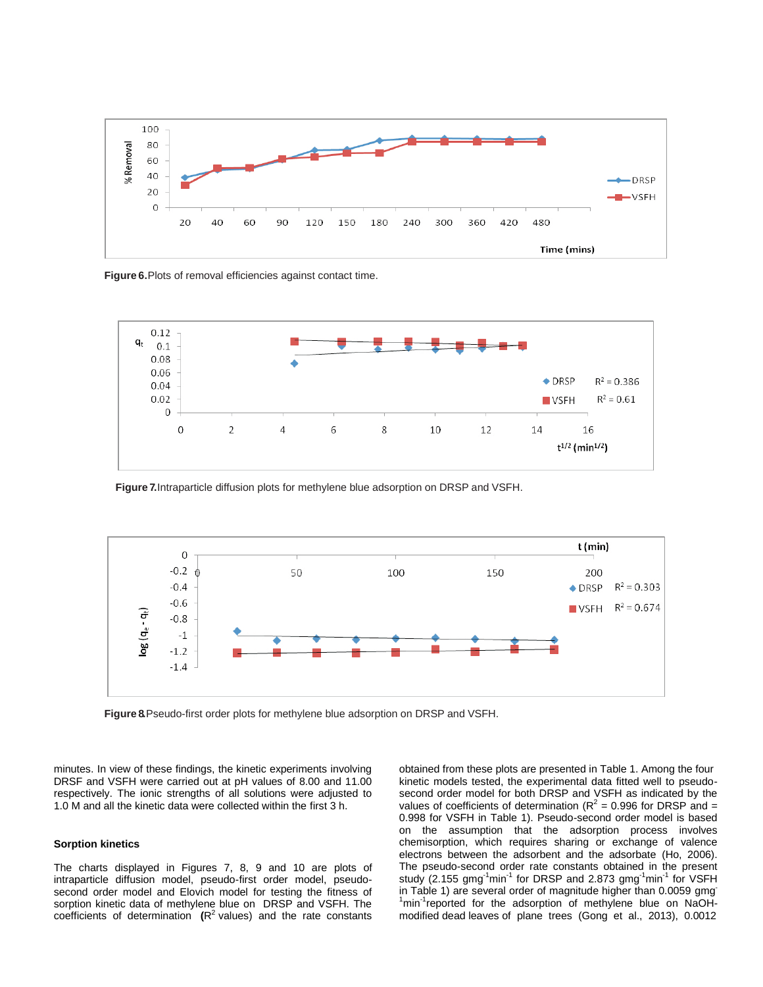





**Figure 7.** Intraparticle diffusion plots for methylene blue adsorption on DRSP and VSFH.



**Figure 8.** Pseudo-first order plots for methylene blue adsorption on DRSP and VSFH.

minutes. In view of these findings, the kinetic experiments involving DRSF and VSFH were carried out at pH values of 8.00 and 11.00 respectively. The ionic strengths of all solutions were adjusted to 1.0 M and all the kinetic data were collected within the first 3 h.

#### **Sorption kinetics**

The charts displayed in Figures 7, 8, 9 and 10 are plots of intraparticle diffusion model, pseudo-first order model, pseudosecond order model and Elovich model for testing the fitness of sorption kinetic data of methylene blue on DRSP and VSFH. The coefficients of determination **(**R 2 values) and the rate constants

obtained from these plots are presented in Table 1. Among the four kinetic models tested, the experimental data fitted well to pseudosecond order model for both DRSP and VSFH as indicated by the values of coefficients of determination ( $R^2$  = 0.996 for DRSP and = 0.998 for VSFH in Table 1). Pseudo-second order model is based on the assumption that the adsorption process involves chemisorption, which requires sharing or exchange of valence electrons between the adsorbent and the adsorbate (Ho, 2006). The pseudo-second order rate constants obtained in the present study (2.155 gmg<sup>-1</sup>min<sup>-1</sup> for DRSP and 2.873 gmg<sup>-1</sup>min<sup>-1</sup> for VSFH in Table 1) are several order of magnitude higher than 0.0059 gmg <sup>1</sup>min<sup>-1</sup>reported for the adsorption of methylene blue on NaOHmodified dead leaves of plane trees (Gong et al., 2013), 0.0012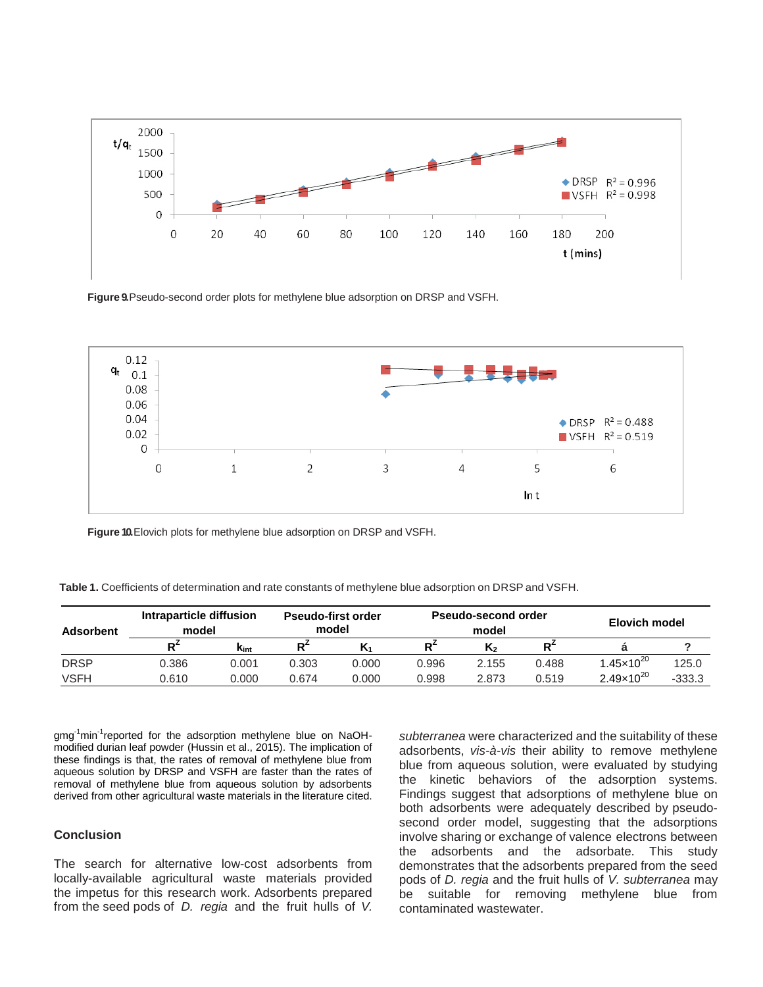

**Figure 9.** Pseudo-second order plots for methylene blue adsorption on DRSP and VSFH.



**Figure 10.** Elovich plots for methylene blue adsorption on DRSP and VSFH.

**Table 1.** Coefficients of determination and rate constants of methylene blue adsorption on DRSP and VSFH.

| Adsorbent   | Intraparticle diffusion<br>model |       | <b>Pseudo-first order</b><br>model |       | <b>Pseudo-second order</b><br>model |       |                | Elovich model         |          |
|-------------|----------------------------------|-------|------------------------------------|-------|-------------------------------------|-------|----------------|-----------------------|----------|
|             | DР                               | Kint  | D <sup>4</sup>                     | M     | D <sup>4</sup>                      | K,    | D <sup>4</sup> |                       |          |
| <b>DRSP</b> | 0.386                            | 0.001 | 0.303                              | 0.000 | 0.996                               | 2.155 | 0.488          | $1.45 \times 10^{20}$ | 125.0    |
| VSFH        | 0.610                            | 0.000 | 0.674                              | 0.000 | 0.998                               | 2.873 | 0.519          | $2.49 \times 10^{20}$ | $-333.3$ |

gmg<sup>-1</sup>min<sup>-1</sup>reported for the adsorption methylene blue on NaOHmodified durian leaf powder (Hussin et al., 2015). The implication of these findings is that, the rates of removal of methylene blue from aqueous solution by DRSP and VSFH are faster than the rates of removal of methylene blue from aqueous solution by adsorbents derived from other agricultural waste materials in the literature cited.

### **Conclusion**

The search for alternative low-cost adsorbents from locally-available agricultural waste materials provided the impetus for this research work. Adsorbents prepared from the seed pods of *D. regia* and the fruit hulls of *V.*

*subterranea* were characterized and the suitability of these adsorbents, *vis-à-vis* their ability to remove methylene blue from aqueous solution, were evaluated by studying the kinetic behaviors of the adsorption systems. Findings suggest that adsorptions of methylene blue on both adsorbents were adequately described by pseudosecond order model, suggesting that the adsorptions involve sharing or exchange of valence electrons between the adsorbents and the adsorbate. This study demonstrates that the adsorbents prepared from the seed pods of *D. regia* and the fruit hulls of *V. subterranea* may be suitable for removing methylene blue from contaminated wastewater.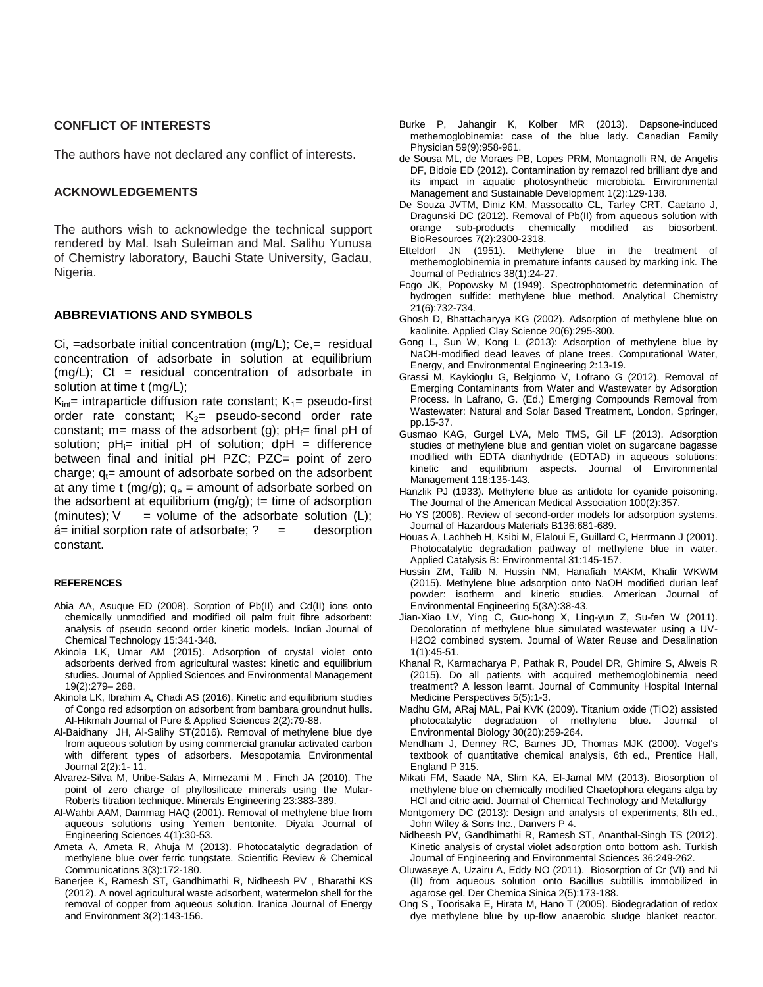## **CONFLICT OF INTERESTS**

The authors have not declared any conflict of interests.

## **ACKNOWLEDGEMENTS**

The authors wish to acknowledge the technical support rendered by Mal. Isah Suleiman and Mal. Salihu Yunusa of Chemistry laboratory, Bauchi State University, Gadau, Nigeria.

#### **ABBREVIATIONS AND SYMBOLS**

Ci,  $=$ adsorbate initial concentration (mg/L); Ce, $=$  residual concentration of adsorbate in solution at equilibrium  $(mq/L)$ ; Ct = residual concentration of adsorbate in solution at time t (mg/L);

 $K_{int}$ = intraparticle diffusion rate constant;  $K_1$ = pseudo-first order rate constant;  $K_2=$  pseudo-second order rate constant; m= mass of the adsorbent (g);  $pH_f$ = final pH of solution;  $pH_i=$  initial  $pH$  of solution;  $dpH =$  difference between final and initial pH PZC; PZC= point of zero charge;  $q_t$ = amount of adsorbate sorbed on the adsorbent at any time t (mg/g);  $q_e$  = amount of adsorbate sorbed on the adsorbent at equilibrium (mg/g);  $t=$  time of adsorption (minutes);  $V =$  volume of the adsorbate solution (L);  $a$ = initial sorption rate of adsorbate; ? = desorption constant.

#### **REFERENCES**

- Abia AA, Asuque ED (2008). Sorption of Pb(II) and Cd(II) ions onto chemically unmodified and modified oil palm fruit fibre adsorbent: analysis of pseudo second order kinetic models. Indian Journal of Chemical Technology 15:341-348.
- Akinola LK, Umar AM (2015). Adsorption of crystal violet onto adsorbents derived from agricultural wastes: kinetic and equilibrium studies. Journal of Applied Sciences and Environmental Management 19(2):279– 288.
- Akinola LK, Ibrahim A, Chadi AS (2016). Kinetic and equilibrium studies of Congo red adsorption on adsorbent from bambara groundnut hulls. Al-Hikmah Journal of Pure & Applied Sciences 2(2):79-88.
- Al-Baidhany JH, Al-Salihy ST(2016). Removal of methylene blue dye from aqueous solution by using commercial granular activated carbon with different types of adsorbers. Mesopotamia Environmental Journal 2(2):1- 11.
- Alvarez-Silva M, Uribe-Salas A, Mirnezami M , Finch JA (2010). The point of zero charge of phyllosilicate minerals using the Mular-Roberts titration technique. Minerals Engineering 23:383-389.
- Al-Wahbi AAM, Dammag HAQ (2001). Removal of methylene blue from aqueous solutions using Yemen bentonite. Diyala Journal of Engineering Sciences 4(1):30-53.
- Ameta A, Ameta R, Ahuja M (2013). Photocatalytic degradation of methylene blue over ferric tungstate. Scientific Review & Chemical Communications 3(3):172-180.
- Banerjee K, Ramesh ST, Gandhimathi R, Nidheesh PV , Bharathi KS (2012). A novel agricultural waste adsorbent, watermelon shell for the removal of copper from aqueous solution. Iranica Journal of Energy and Environment 3(2):143-156.
- Burke P, Jahangir K, Kolber MR (2013). Dapsone-induced methemoglobinemia: case of the blue lady. Canadian Family Physician 59(9):958-961.
- de Sousa ML, de Moraes PB, Lopes PRM, Montagnolli RN, de Angelis DF, Bidoie ED (2012). Contamination by remazol red brilliant dye and its impact in aquatic photosynthetic microbiota. Environmental Management and Sustainable Development 1(2):129-138.
- De Souza JVTM, Diniz KM, Massocatto CL, Tarley CRT, Caetano J, Dragunski DC (2012). Removal of Pb(II) from aqueous solution with orange sub-products chemically modified as biosorbent. BioResources 7(2):2300-2318.
- Etteldorf JN (1951). Methylene blue in the treatment of methemoglobinemia in premature infants caused by marking ink. The Journal of Pediatrics 38(1):24-27.
- Fogo JK, Popowsky M (1949). Spectrophotometric determination of hydrogen sulfide: methylene blue method. Analytical Chemistry 21(6):732-734.
- Ghosh D, Bhattacharyya KG (2002). Adsorption of methylene blue on kaolinite. Applied Clay Science 20(6):295-300.
- Gong L, Sun W, Kong L (2013): Adsorption of methylene blue by NaOH-modified dead leaves of plane trees. Computational Water, Energy, and Environmental Engineering 2:13-19.
- Grassi M, Kaykioglu G, Belgiorno V, Lofrano G (2012). Removal of Emerging Contaminants from Water and Wastewater by Adsorption Process. In Lafrano, G. (Ed.) Emerging Compounds Removal from Wastewater: Natural and Solar Based Treatment, London, Springer, pp.15-37.
- Gusmao KAG, Gurgel LVA, Melo TMS, Gil LF (2013). Adsorption studies of methylene blue and gentian violet on sugarcane bagasse modified with EDTA dianhydride (EDTAD) in aqueous solutions: kinetic and equilibrium aspects. Journal of Environmental Management 118:135-143.
- Hanzlik PJ (1933). Methylene blue as antidote for cyanide poisoning. The Journal of the American Medical Association 100(2):357.
- Ho YS (2006). Review of second-order models for adsorption systems. Journal of Hazardous Materials B136:681-689.
- Houas A, Lachheb H, Ksibi M, Elaloui E, Guillard C, Herrmann J (2001). Photocatalytic degradation pathway of methylene blue in water. Applied Catalysis B: Environmental 31:145-157.
- Hussin ZM, Talib N, Hussin NM, Hanafiah MAKM, Khalir WKWM (2015). Methylene blue adsorption onto NaOH modified durian leaf powder: isotherm and kinetic studies. American Journal of Environmental Engineering 5(3A):38-43.
- Jian-Xiao LV, Ying C, Guo-hong X, Ling-yun Z, Su-fen W (2011). Decoloration of methylene blue simulated wastewater using a UV-H2O2 combined system. Journal of Water Reuse and Desalination 1(1):45-51.
- Khanal R, Karmacharya P, Pathak R, Poudel DR, Ghimire S, Alweis R (2015). Do all patients with acquired methemoglobinemia need treatment? A lesson learnt. Journal of Community Hospital Internal Medicine Perspectives 5(5):1-3.
- Madhu GM, ARaj MAL, Pai KVK (2009). Titanium oxide (TiO2) assisted photocatalytic degradation of methylene blue. Journal of Environmental Biology 30(20):259-264.
- Mendham J, Denney RC, Barnes JD, Thomas MJK (2000). Vogel's textbook of quantitative chemical analysis, 6th ed., Prentice Hall, England P 315.
- Mikati FM, Saade NA, Slim KA, El-Jamal MM (2013). Biosorption of methylene blue on chemically modified Chaetophora elegans alga by HCl and citric acid. Journal of Chemical Technology and Metallurgy
- Montgomery DC (2013): Design and analysis of experiments, 8th ed., John Wiley & Sons Inc., Danvers P 4.
- Nidheesh PV, Gandhimathi R, Ramesh ST, Ananthal-Singh TS (2012). Kinetic analysis of crystal violet adsorption onto bottom ash. Turkish Journal of Engineering and Environmental Sciences 36:249-262.
- Oluwaseye A, Uzairu A, Eddy NO (2011). Biosorption of Cr (VI) and Ni (II) from aqueous solution onto Bacillus subtillis immobilized in agarose gel. Der Chemica Sinica 2(5):173-188.
- Ong S , Toorisaka E, Hirata M, Hano T (2005). Biodegradation of redox dye methylene blue by up-flow anaerobic sludge blanket reactor.